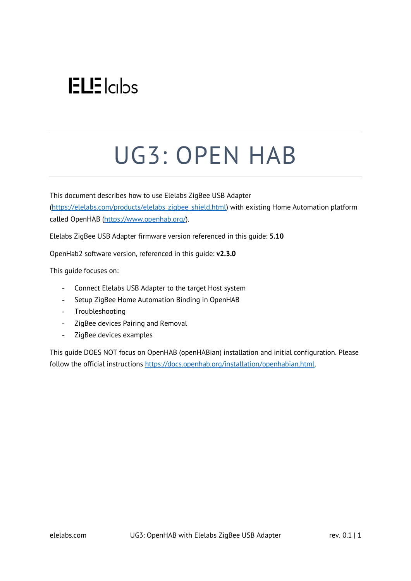## $ELE$   $|c|$

# UG3: OPEN HAB

This document describes how to use Elelabs ZigBee USB Adapter [\(https://elelabs.com/products/elelabs\\_zigbee\\_shield.html\)](https://elelabs.com/products/elelabs_zigbee_shield.html) with existing Home Automation platform called OpenHAB [\(https://www.openhab.org/\)](https://www.openhab.org/).

Elelabs ZigBee USB Adapter firmware version referenced in this guide: **5.10**

OpenHab2 software version, referenced in this guide: **v2.3.0**

This guide focuses on:

- Connect Elelabs USB Adapter to the target Host system
- $\omega_{\rm{max}}$ Setup ZigBee Home Automation Binding in OpenHAB
- Troubleshooting
- ZigBee devices Pairing and Removal
- $\frac{1}{2}$  . ZigBee devices examples

This guide DOES NOT focus on OpenHAB (openHABian) installation and initial configuration. Please follow the official instructions [https://docs.openhab.org/installation/openhabian.html.](https://docs.openhab.org/installation/openhabian.html)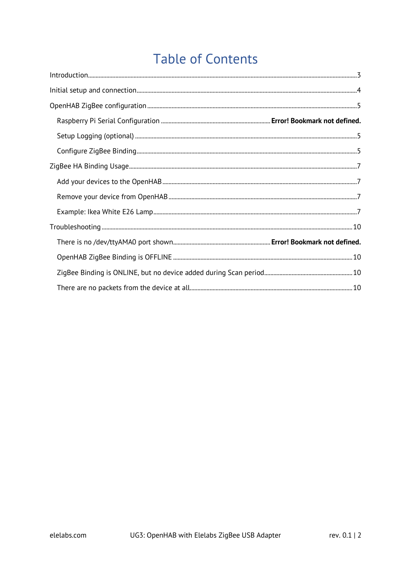## **Table of Contents**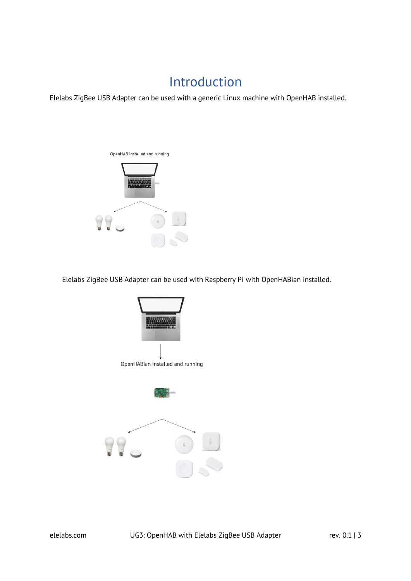### Introduction

<span id="page-2-0"></span>Elelabs ZigBee USB Adapter can be used with a generic Linux machine with OpenHAB installed.



Elelabs ZigBee USB Adapter can be used with Raspberry Pi with OpenHABian installed.

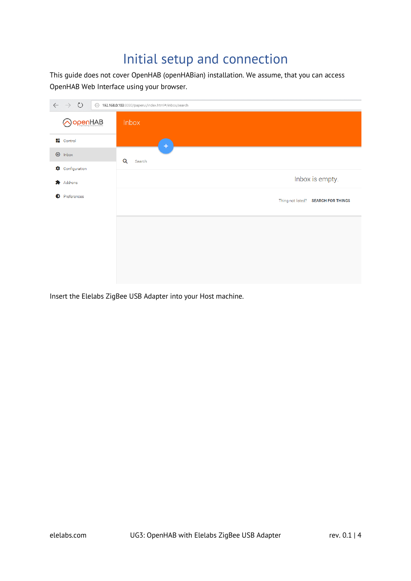## Initial setup and connection

<span id="page-3-0"></span>This guide does not cover OpenHAB (openHABian) installation. We assume, that you can access OpenHAB Web Interface using your browser.

| $\circlearrowright$<br>$\leftarrow$<br>$\rightarrow$ | 192.168.0.103:8080/paperui/index.html#/inbox/search |
|------------------------------------------------------|-----------------------------------------------------|
| ) openHAB                                            | Inbox                                               |
| <b>E</b> Control                                     | $\pm$                                               |
| $\bigoplus$ Inbox                                    | Q<br>Search                                         |
| Configuration                                        |                                                     |
| <b>六</b> Add-ons                                     | Inbox is empty.                                     |
| Preferences                                          | Thing not listed? SEARCH FOR THINGS                 |
|                                                      |                                                     |
|                                                      |                                                     |
|                                                      |                                                     |
|                                                      |                                                     |
|                                                      |                                                     |

Insert the Elelabs ZigBee USB Adapter into your Host machine.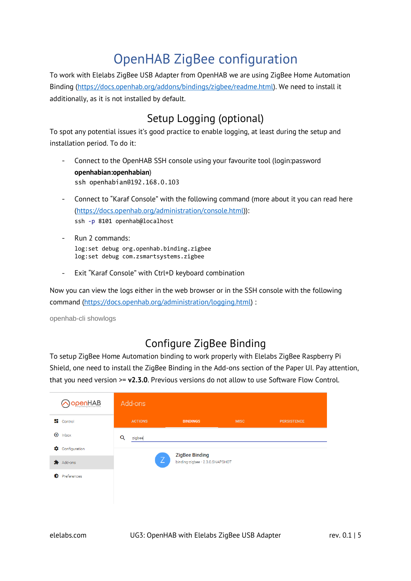## OpenHAB ZigBee configuration

<span id="page-4-0"></span>To work with Elelabs ZigBee USB Adapter from OpenHAB we are using ZigBee Home Automation Binding [\(https://docs.openhab.org/addons/bindings/zigbee/readme.html\)](https://docs.openhab.org/addons/bindings/zigbee/readme.html). We need to install it additionally, as it is not installed by default.

#### Setup Logging (optional)

<span id="page-4-1"></span>To spot any potential issues it's good practice to enable logging, at least during the setup and installation period. To do it:

- Connect to the OpenHAB SSH console using your favourite tool (login:password **openhabian:openhabian**) ssh openhabian@192.168.0.103
- Connect to "Karaf Console" with the following command (more about it you can read here  $\mathbf{r}$ [\(https://docs.openhab.org/administration/console.html\)](https://docs.openhab.org/administration/console.html)): ssh -p 8101 openhab@localhost
- Run 2 commands: log:set debug org.openhab.binding.zigbee log:set debug com.zsmartsystems.zigbee
- Exit "Karaf Console" with Ctrl+D keyboard combination

Now you can view the logs either in the web browser or in the SSH console with the following command [\(https://docs.openhab.org/administration/logging.html\)](https://docs.openhab.org/administration/logging.html) :

openhab-cli showlogs

#### Configure ZigBee Binding

<span id="page-4-2"></span>To setup ZigBee Home Automation binding to work properly with Elelabs ZigBee Raspberry Pi Shield, one need to install the ZigBee Binding in the Add-ons section of the Paper UI. Pay attention, that you need version >= **v2.3.0**. Previous versions do not allow to use Software Flow Control.

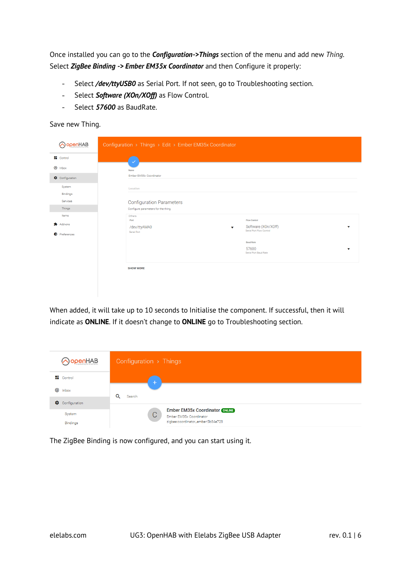Once installed you can go to the *Configuration->Things* section of the menu and add new *Thing.* Select *ZigBee Binding -> Ember EM35x Coordinator* and then Configure it properly:

- $\omega_{\rm{max}}$ Select */dev/ttyUSB0* as Serial Port. If not seen, go to Troubleshooting section.
- Select *Software (XOn/XOff)* as Flow Control.
- Select *57600* as BaudRate.  $\omega_{\rm{max}}$

Save new Thing.

| AopenHAB             | Configuration > Things > Edit > Ember EM35x Coordinator              |
|----------------------|----------------------------------------------------------------------|
| <b>E</b> Control     | $\checkmark$                                                         |
| $\bigoplus$ Inbox    | Name                                                                 |
| Configuration        | Ember EM35x Coordinator                                              |
| System<br>Bindings   | Location                                                             |
| Services             | <b>Configuration Parameters</b>                                      |
| Things               | Configure parameters for the thing.                                  |
| Items                | Others<br><b>Flow Control</b><br>Port                                |
| Add-ons              | Software (XOn/XOff)<br>/dev/ttyAMA0<br>v<br>Serial Port Flow Control |
| <b>D</b> Preferences | Serial Port                                                          |
|                      | <b>Baud Rate</b>                                                     |
|                      | 57600<br>Serial Port Baud Rate                                       |
|                      |                                                                      |
|                      | <b>SHOW MORE</b>                                                     |
|                      |                                                                      |
|                      |                                                                      |

When added, it will take up to 10 seconds to Initialise the component. If successful, then it will indicate as **ONLINE**. If it doesn't change to **ONLINE** go to Troubleshooting section.

| OopenHAB               | Configuration > Things                                                            |
|------------------------|-----------------------------------------------------------------------------------|
| $\blacksquare$ Control | ÷                                                                                 |
| $\bigoplus$ Inbox      | Q                                                                                 |
| ₩.<br>Configuration    | Search                                                                            |
| System                 | <b>Ember EM35x Coordinator ONLINE</b><br>$\mathcal{C}$<br>Ember EM35x Coordinator |
| <b>Bindings</b>        | zigbee:coordinator_ember:5b84e728                                                 |

The ZigBee Binding is now configured, and you can start using it.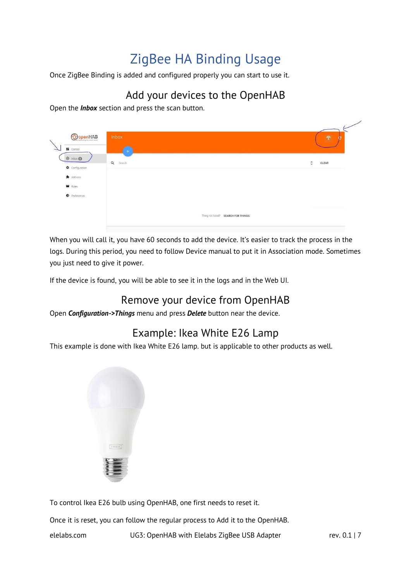## ZigBee HA Binding Usage

<span id="page-6-0"></span>Once ZigBee Binding is added and configured properly you can start to use it.

#### Add your devices to the OpenHAB

<span id="page-6-1"></span>Open the *Inbox* section and press the scan button.

| <b>O</b> openHAB<br><b>ET</b> Control              | Inbox<br>$+$                        | $\widehat{\mathcal{F}}$<br>æ |
|----------------------------------------------------|-------------------------------------|------------------------------|
| $\oplus$ Inbox $\oplus$<br>Configuration           | Q Search                            | CLEAR<br>$\hat{\cdot}$       |
| Add-ons<br><b>N</b> Rules<br>$\bullet$ Preferences |                                     |                              |
|                                                    | Thing not listed? SEARCH FOR THINGS |                              |

When you will call it, you have 60 seconds to add the device. It's easier to track the process in the logs. During this period, you need to follow Device manual to put it in Association mode. Sometimes you just need to give it power.

If the device is found, you will be able to see it in the logs and in the Web UI.

#### Remove your device from OpenHAB

<span id="page-6-2"></span>Open *Configuration->Things* menu and press *Delete* button near the device.

#### Example: Ikea White E26 Lamp

<span id="page-6-3"></span>This example is done with Ikea White E26 lamp. but is applicable to other products as well.



To control Ikea E26 bulb using OpenHAB, one first needs to reset it.

Once it is reset, you can follow the regular process to Add it to the OpenHAB.

elelabs.com UG3: OpenHAB with Elelabs ZigBee USB Adapter rev. 0.1 | 7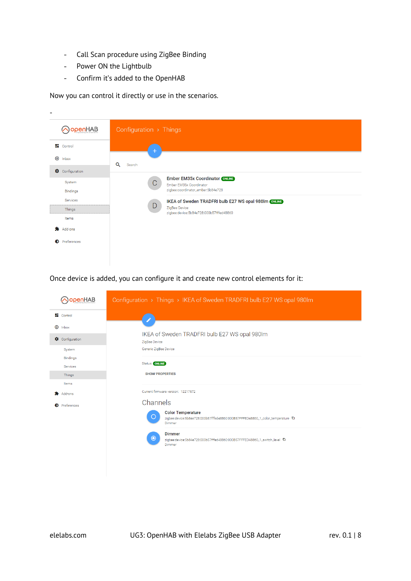- Call Scan procedure using ZigBee Binding  $\equiv$
- Power ON the Lightbulb  $\frac{1}{2}$
- Confirm it's added to the OpenHAB  $\equiv$

Now you can control it directly or use in the scenarios.

| -                    |                                                                                                            |
|----------------------|------------------------------------------------------------------------------------------------------------|
| OpenHAB              | Configuration > Things                                                                                     |
| <b>E</b> Control     | $\pm$                                                                                                      |
| $\bigoplus$<br>Inbox | Q<br>Search                                                                                                |
| Configuration        |                                                                                                            |
| System<br>Bindings   | <b>Ember EM35x Coordinator ONLINE</b><br>C<br>Ember EM35x Coordinator<br>zigbee:coordinator_ember:5b84e728 |
| Services             | IKEA of Sweden TRADFRI bulb E27 WS opal 980Im ONLINE                                                       |
| Things               | D<br>ZigBee Device<br>zigbee:device:5b84e728:000b57fffed48860                                              |
| Items                |                                                                                                            |
| Add-ons              |                                                                                                            |
| Preferences<br>Ð     |                                                                                                            |

Once device is added, you can configure it and create new control elements for it:

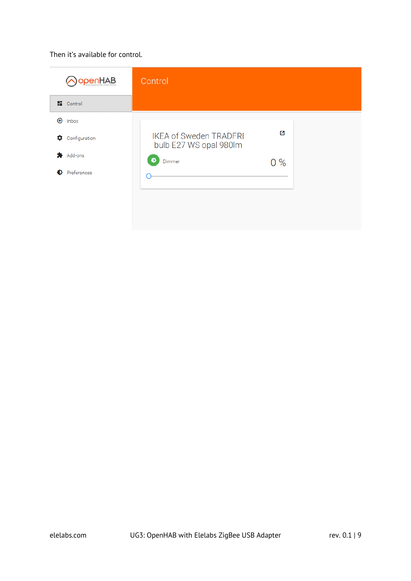#### Then it's available for control.

| <b>benHAB</b>          | Control                                                 |       |
|------------------------|---------------------------------------------------------|-------|
| $\blacksquare$ Control |                                                         |       |
| $\bigoplus$<br>Inbox   |                                                         |       |
| Configuration<br>۰     | <b>IKEA of Sweden TRADFRI</b><br>bulb E27 WS opal 980lm | Ø     |
| Add-ons                | Ð<br>Dimmer                                             | $0\%$ |
| Preferences            |                                                         |       |